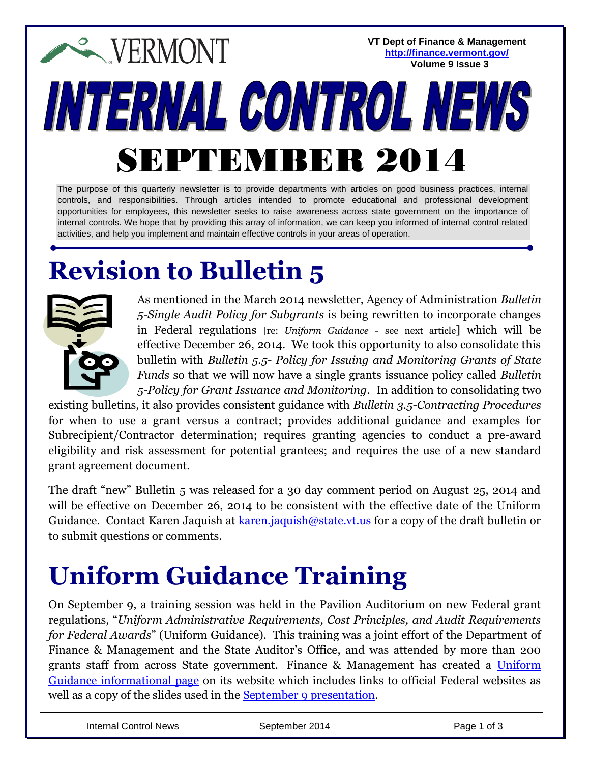**VT Dept of Finance & Management EXPERMONT <http://finance.vermont.gov/> Volume 9 Issue 3**INTERNAL CONTROL NEW SEPTEMBER 2014

The purpose of this quarterly newsletter is to provide departments with articles on good business practices, internal controls, and responsibilities. Through articles intended to promote educational and professional development opportunities for employees, this newsletter seeks to raise awareness across state government on the importance of internal controls. We hope that by providing this array of information, we can keep you informed of internal control related activities, and help you implement and maintain effective controls in your areas of operation.

# **Revision to Bulletin 5**



As mentioned in the March 2014 newsletter, Agency of Administration *Bulletin 5-Single Audit Policy for Subgrants* is being rewritten to incorporate changes in Federal regulations [re: *Uniform Guidance* - see next article] which will be effective December 26, 2014. We took this opportunity to also consolidate this bulletin with *Bulletin 5.5- Policy for Issuing and Monitoring Grants of State Funds* so that we will now have a single grants issuance policy called *Bulletin 5-Policy for Grant Issuance and Monitoring*. In addition to consolidating two

existing bulletins, it also provides consistent guidance with *Bulletin 3.5-Contracting Procedures* for when to use a grant versus a contract; provides additional guidance and examples for Subrecipient/Contractor determination; requires granting agencies to conduct a pre-award eligibility and risk assessment for potential grantees; and requires the use of a new standard grant agreement document.

The draft "new" Bulletin 5 was released for a 30 day comment period on August 25, 2014 and will be effective on December 26, 2014 to be consistent with the effective date of the Uniform Guidance. Contact Karen Jaquish at [karen.jaquish@state.vt.us](mailto:karen.jaquish@state.vt.us) for a copy of the draft bulletin or to submit questions or comments.

### **Uniform Guidance Training**

On September 9, a training session was held in the Pavilion Auditorium on new Federal grant regulations, "*Uniform Administrative Requirements, Cost Principles, and Audit Requirements for Federal Awards*" (Uniform Guidance). This training was a joint effort of the Department of Finance & Management and the State Auditor's Office, and was attended by more than 200 grants staff from across State government. Finance & Management has created a [Uniform](http://finance.vermont.gov/policies_procedures/uniform_guidance)  [Guidance informational page](http://finance.vermont.gov/policies_procedures/uniform_guidance) on its website which includes links to official Federal websites as well as a copy of the slides used in the [September 9 presentation.](http://finance.vermont.gov/sites/finance/files/pdf/UniformGuidance/OMB_Uniform_Guidance_Presentation_9-9-2014_web.pdf)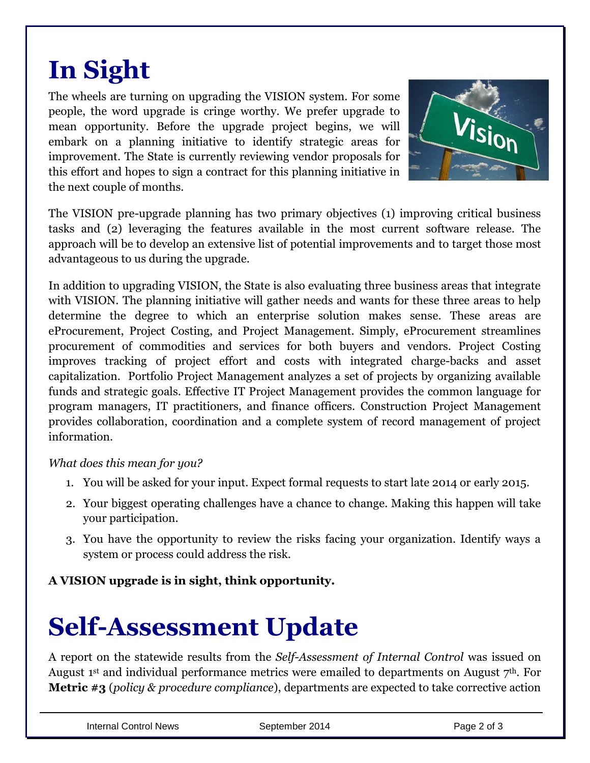## **In Sight**

The wheels are turning on upgrading the VISION system. For some people, the word upgrade is cringe worthy. We prefer upgrade to mean opportunity. Before the upgrade project begins, we will embark on a planning initiative to identify strategic areas for improvement. The State is currently reviewing vendor proposals for this effort and hopes to sign a contract for this planning initiative in the next couple of months.



The VISION pre-upgrade planning has two primary objectives (1) improving critical business tasks and (2) leveraging the features available in the most current software release. The approach will be to develop an extensive list of potential improvements and to target those most advantageous to us during the upgrade.

In addition to upgrading VISION, the State is also evaluating three business areas that integrate with VISION. The planning initiative will gather needs and wants for these three areas to help determine the degree to which an enterprise solution makes sense. These areas are eProcurement, Project Costing, and Project Management. Simply, eProcurement streamlines procurement of commodities and services for both buyers and vendors. Project Costing improves tracking of project effort and costs with integrated charge-backs and asset capitalization. Portfolio Project Management analyzes a set of projects by organizing available funds and strategic goals. Effective IT Project Management provides the common language for program managers, IT practitioners, and finance officers. Construction Project Management provides collaboration, coordination and a complete system of record management of project information.

#### *What does this mean for you?*

- 1. You will be asked for your input. Expect formal requests to start late 2014 or early 2015.
- 2. Your biggest operating challenges have a chance to change. Making this happen will take your participation.
- 3. You have the opportunity to review the risks facing your organization. Identify ways a system or process could address the risk.

**A VISION upgrade is in sight, think opportunity.**

### **Self-Assessment Update**

A report on the statewide results from the *Self-Assessment of Internal Control* was issued on August 1<sup>st</sup> and individual performance metrics were emailed to departments on August  $7<sup>th</sup>$ . For **Metric #3** (*policy & procedure compliance*), departments are expected to take corrective action